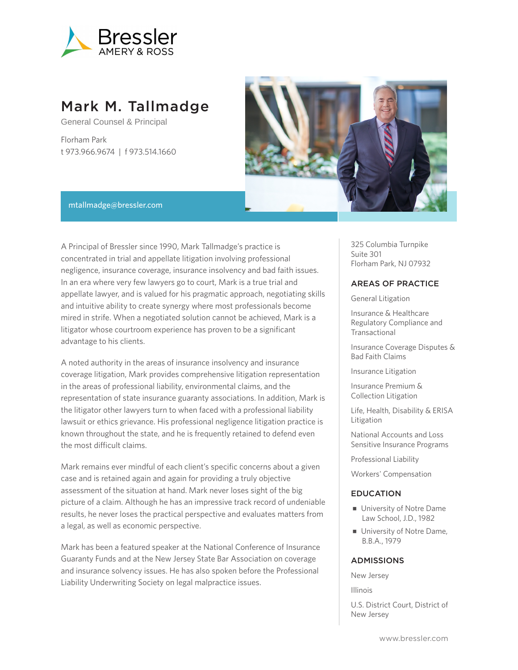

# Mark M. Tallmadge

General Counsel & Principal

Florham Park t 973.966.9674 | f 973.514.1660



#### mtallmadge@bressler.com

A Principal of Bressler since 1990, Mark Tallmadge's practice is concentrated in trial and appellate litigation involving professional negligence, insurance coverage, insurance insolvency and bad faith issues. In an era where very few lawyers go to court, Mark is a true trial and appellate lawyer, and is valued for his pragmatic approach, negotiating skills and intuitive ability to create synergy where most professionals become mired in strife. When a negotiated solution cannot be achieved, Mark is a litigator whose courtroom experience has proven to be a significant advantage to his clients.

A noted authority in the areas of insurance insolvency and insurance coverage litigation, Mark provides comprehensive litigation representation in the areas of professional liability, environmental claims, and the representation of state insurance guaranty associations. In addition, Mark is the litigator other lawyers turn to when faced with a professional liability lawsuit or ethics grievance. His professional negligence litigation practice is known throughout the state, and he is frequently retained to defend even the most difficult claims.

Mark remains ever mindful of each client's specific concerns about a given case and is retained again and again for providing a truly objective assessment of the situation at hand. Mark never loses sight of the big picture of a claim. Although he has an impressive track record of undeniable results, he never loses the practical perspective and evaluates matters from a legal, as well as economic perspective.

Mark has been a featured speaker at the National Conference of Insurance Guaranty Funds and at the New Jersey State Bar Association on coverage and insurance solvency issues. He has also spoken before the Professional Liability Underwriting Society on legal malpractice issues.

325 Columbia Turnpike Suite 301 Florham Park, NJ 07932

#### AREAS OF PRACTICE

General Litigation

Insurance & Healthcare Regulatory Compliance and Transactional

Insurance Coverage Disputes & Bad Faith Claims

Insurance Litigation

Insurance Premium & Collection Litigation

Life, Health, Disability & ERISA Litigation

National Accounts and Loss Sensitive Insurance Programs

Professional Liability

Workers' Compensation

#### EDUCATION

- University of Notre Dame Law School, J.D., 1982
- University of Notre Dame, B.B.A., 1979

#### ADMISSIONS

New Jersey

Illinois

U.S. District Court, District of New Jersey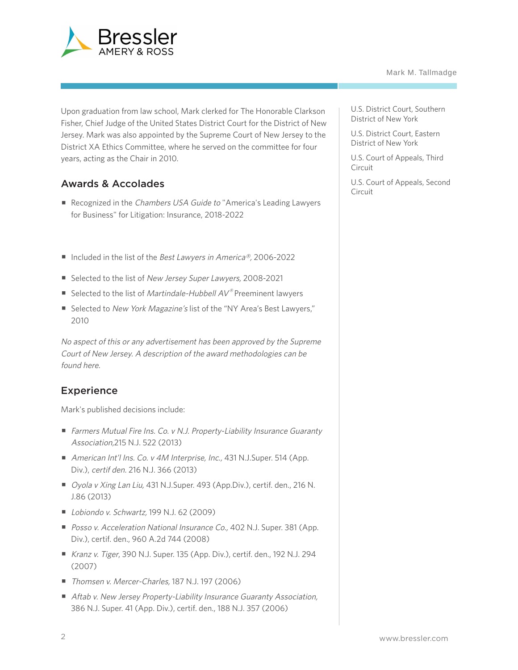

Upon graduation from law school, Mark clerked for The Honorable Clarkson Fisher, Chief Judge of the United States District Court for the District of New Jersey. Mark was also appointed by the Supreme Court of New Jersey to the District XA Ethics Committee, where he served on the committee for four years, acting as the Chair in 2010.

## Awards & Accolades

- Recognized in the Chambers USA Guide to "America's Leading Lawyers for Business" for Litigation: Insurance, 2018-2022
- Included in the list of the Best Lawyers in America®, 2006-2022
- Selected to the list of New Jersey Super Lawyers, 2008-2021
- Selected to the list of *Martindale-Hubbell AV®* Preeminent lawyers
- Selected to New York Magazine's list of the "NY Area's Best Lawyers," 2010

No aspect of this or any advertisement has been approved by the Supreme Court of New Jersey. A description of the award methodologies can be found here.

### **Experience**

Mark's published decisions include:

- Farmers Mutual Fire Ins. Co. v N.J. Property-Liability Insurance Guaranty Association,215 N.J. 522 (2013)
- American Int'l Ins. Co. v 4M Interprise, Inc., 431 N.J.Super. 514 (App. Div.), certif den. 216 N.J. 366 (2013)
- Oyola v Xing Lan Liu, 431 N.J.Super. 493 (App.Div.), certif. den., 216 N. J.86 (2013)
- *Lobiondo v. Schwartz*, 199 N.J. 62 (2009)
- Posso v. Acceleration National Insurance Co., 402 N.J. Super. 381 (App. Div.), certif. den., 960 A.2d 744 (2008)
- Kranz v. Tiger, 390 N.J. Super. 135 (App. Div.), certif. den., 192 N.J. 294 (2007)
- Thomsen v. Mercer-Charles, 187 N.J. 197 (2006)
- Aftab v. New Jersey Property-Liability Insurance Guaranty Association, 386 N.J. Super. 41 (App. Div.), certif. den., 188 N.J. 357 (2006)

U.S. District Court, Southern District of New York

U.S. District Court, Eastern District of New York

U.S. Court of Appeals, Third Circuit

U.S. Court of Appeals, Second Circuit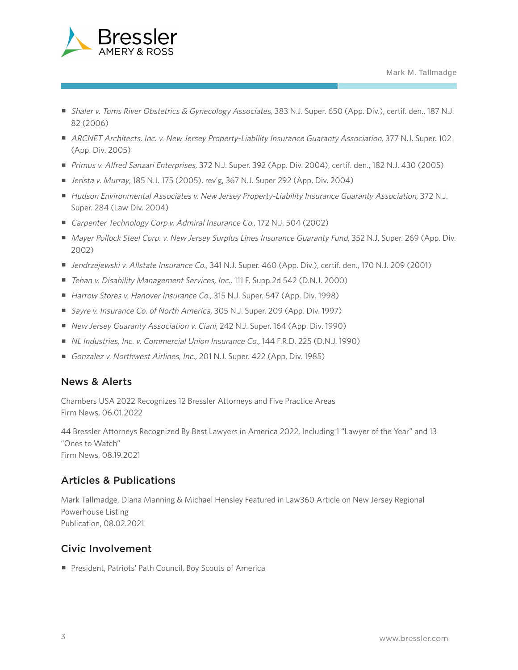

- Shaler v. Toms River Obstetrics & Gynecology Associates, 383 N.J. Super. 650 (App. Div.), certif. den., 187 N.J. 82 (2006)
- ARCNET Architects, Inc. v. New Jersey Property-Liability Insurance Guaranty Association, 377 N.J. Super. 102 (App. Div. 2005)
- Primus v. Alfred Sanzari Enterprises, 372 N.J. Super. 392 (App. Div. 2004), certif. den., 182 N.J. 430 (2005)
- *Jerista v. Murray*, 185 N.J. 175 (2005), rev'g, 367 N.J. Super 292 (App. Div. 2004)
- Hudson Environmental Associates v. New Jersey Property-Liability Insurance Guaranty Association, 372 N.J. Super. 284 (Law Div. 2004)
- Carpenter Technology Corp.v. Admiral Insurance Co., 172 N.J. 504 (2002)
- Mayer Pollock Steel Corp. v. New Jersey Surplus Lines Insurance Guaranty Fund, 352 N.J. Super. 269 (App. Div. 2002)
- Jendrzejewski v. Allstate Insurance Co., 341 N.J. Super. 460 (App. Div.), certif. den., 170 N.J. 209 (2001)
- Tehan v. Disability Management Services, Inc., 111 F. Supp.2d 542 (D.N.J. 2000)
- Harrow Stores v. Hanover Insurance Co., 315 N.J. Super. 547 (App. Div. 1998)
- Sayre v. Insurance Co. of North America, 305 N.J. Super. 209 (App. Div. 1997)
- New Jersey Guaranty Association v. Ciani, 242 N.J. Super. 164 (App. Div. 1990)
- NL Industries, Inc. v. Commercial Union Insurance Co., 144 F.R.D. 225 (D.N.J. 1990)
- Gonzalez v. Northwest Airlines, Inc., 201 N.J. Super. 422 (App. Div. 1985)

### News & Alerts

Chambers USA 2022 Recognizes 12 Bressler Attorneys and Five Practice Areas Firm News, 06.01.2022

44 Bressler Attorneys Recognized By Best Lawyers in America 2022, Including 1 "Lawyer of the Year" and 13 "Ones to Watch" Firm News, 08.19.2021

### Articles & Publications

Mark Tallmadge, Diana Manning & Michael Hensley Featured in Law360 Article on New Jersey Regional Powerhouse Listing Publication, 08.02.2021

### Civic Involvement

■ President, Patriots' Path Council, Boy Scouts of America